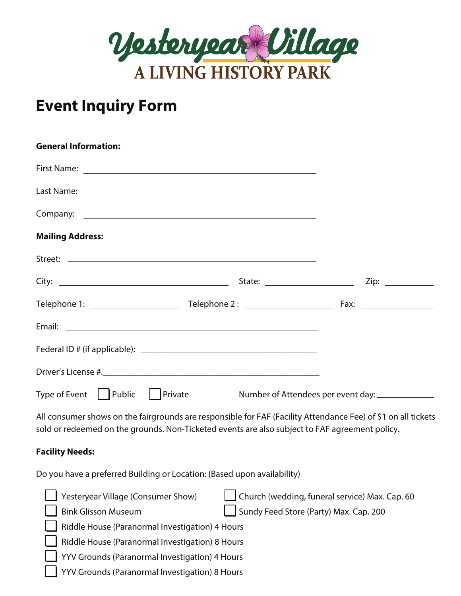

## **Event Inquiry Form**

| <b>General Information:</b>                                                                                                                                                                                     |                                                |  |
|-----------------------------------------------------------------------------------------------------------------------------------------------------------------------------------------------------------------|------------------------------------------------|--|
|                                                                                                                                                                                                                 |                                                |  |
|                                                                                                                                                                                                                 |                                                |  |
|                                                                                                                                                                                                                 |                                                |  |
| <b>Mailing Address:</b>                                                                                                                                                                                         |                                                |  |
|                                                                                                                                                                                                                 |                                                |  |
|                                                                                                                                                                                                                 |                                                |  |
|                                                                                                                                                                                                                 |                                                |  |
|                                                                                                                                                                                                                 |                                                |  |
|                                                                                                                                                                                                                 |                                                |  |
|                                                                                                                                                                                                                 |                                                |  |
| Type of Event Public   Private Number of Attendees per event day:                                                                                                                                               |                                                |  |
| All consumer shows on the fairgrounds are responsible for FAF (Facility Attendance Fee) of \$1 on all tickets<br>sold or redeemed on the grounds. Non-Ticketed events are also subject to FAF agreement policy. |                                                |  |
| <b>Facility Needs:</b>                                                                                                                                                                                          |                                                |  |
| Do you have a preferred Building or Location: (Based upon availability)                                                                                                                                         |                                                |  |
| Yesteryear Village (Consumer Show)                                                                                                                                                                              | Church (wedding, funeral service) Max. Cap. 60 |  |

| Sundy Feed Store (Party) Max. Cap. 200 |  |
|----------------------------------------|--|

Riddle House (Paranormal Investigation) 4 Hours

**Bink Glisson Museum** 

Riddle House (Paranormal Investigation) 8 Hours

YYV Grounds (Paranormal Investigation) 4 Hours

YYV Grounds (Paranormal Investigation) 8 Hours